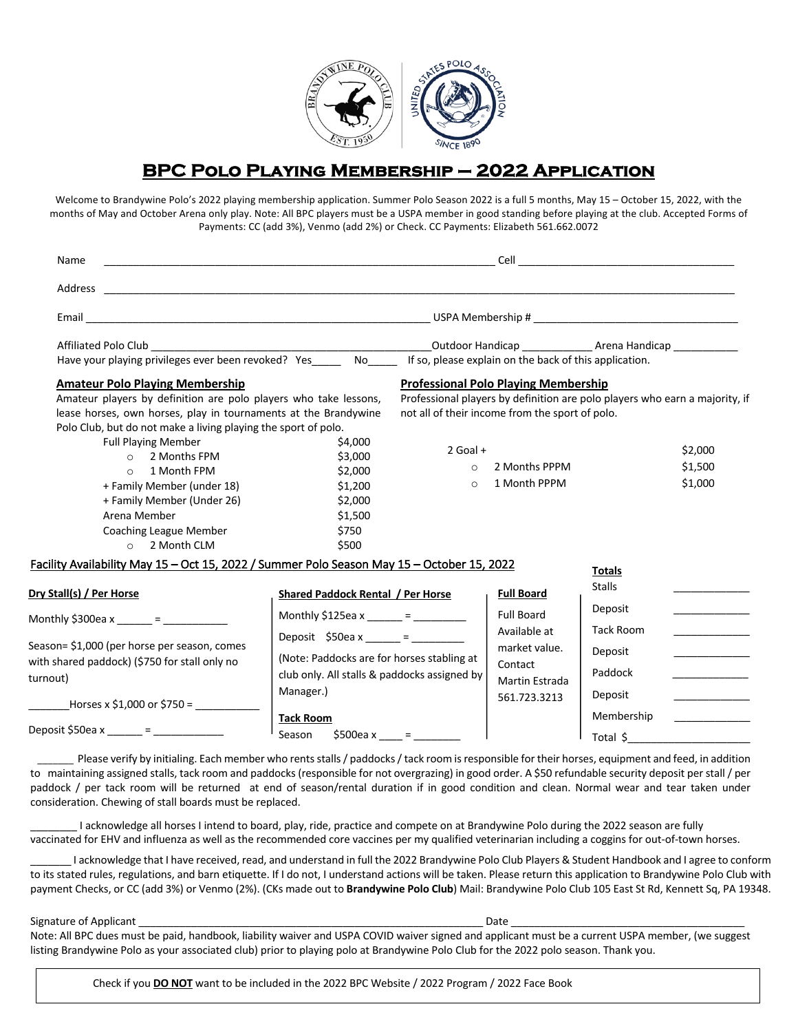

# **BPC Polo Playing Membership – 2022 Application**

Welcome to Brandywine Polo's 2022 playing membership application. Summer Polo Season 2022 is a full 5 months, May 15 – October 15, 2022, with the months of May and October Arena only play. Note: All BPC players must be a USPA member in good standing before playing at the club. Accepted Forms of Payments: CC (add 3%), Venmo (add 2%) or Check. CC Payments: Elizabeth 561.662.0072

| Name                                                                                                                                                                                                                                                                                                                                                                                                                                                             |                                                                                                                                                                 |                                                        |                                                                                                                                                                                                                |                                                                     |                               |  |
|------------------------------------------------------------------------------------------------------------------------------------------------------------------------------------------------------------------------------------------------------------------------------------------------------------------------------------------------------------------------------------------------------------------------------------------------------------------|-----------------------------------------------------------------------------------------------------------------------------------------------------------------|--------------------------------------------------------|----------------------------------------------------------------------------------------------------------------------------------------------------------------------------------------------------------------|---------------------------------------------------------------------|-------------------------------|--|
|                                                                                                                                                                                                                                                                                                                                                                                                                                                                  |                                                                                                                                                                 |                                                        |                                                                                                                                                                                                                |                                                                     |                               |  |
|                                                                                                                                                                                                                                                                                                                                                                                                                                                                  |                                                                                                                                                                 |                                                        |                                                                                                                                                                                                                |                                                                     |                               |  |
| Have your playing privileges ever been revoked? Yes No                                                                                                                                                                                                                                                                                                                                                                                                           |                                                                                                                                                                 | If so, please explain on the back of this application. |                                                                                                                                                                                                                | _Outdoor Handicap ___________________ Arena Handicap ______________ |                               |  |
| <b>Amateur Polo Playing Membership</b><br>Amateur players by definition are polo players who take lessons,<br>lease horses, own horses, play in tournaments at the Brandywine<br>Polo Club, but do not make a living playing the sport of polo.<br><b>Full Playing Member</b><br>2 Months FPM<br>$\circ$<br>1 Month FPM<br>$\Omega$<br>+ Family Member (under 18)<br>+ Family Member (Under 26)<br>Arena Member<br>Coaching League Member<br>$\circ$ 2 Month CLM | \$4,000<br>\$3,000<br>\$2,000<br>\$1,200<br>\$2,000<br>\$1,500<br>\$750<br>\$500                                                                                | $2$ Goal +<br>$\circ$<br>$\circ$                       | <b>Professional Polo Playing Membership</b><br>Professional players by definition are polo players who earn a majority, if<br>not all of their income from the sport of polo.<br>2 Months PPPM<br>1 Month PPPM |                                                                     | \$2,000<br>\$1,500<br>\$1,000 |  |
| Facility Availability May 15 - Oct 15, 2022 / Summer Polo Season May 15 - October 15, 2022<br>Dry Stall(s) / Per Horse                                                                                                                                                                                                                                                                                                                                           | <b>Shared Paddock Rental / Per Horse</b>                                                                                                                        |                                                        | <b>Full Board</b>                                                                                                                                                                                              | <b>Totals</b><br><b>Stalls</b>                                      |                               |  |
| Monthly \$300ea x ______ = __________                                                                                                                                                                                                                                                                                                                                                                                                                            | Monthly \$125ea x ______ = ________                                                                                                                             |                                                        | <b>Full Board</b><br>Available at                                                                                                                                                                              | Deposit<br><b>Tack Room</b>                                         |                               |  |
| Season= \$1,000 (per horse per season, comes<br>with shared paddock) (\$750 for stall only no<br>turnout)<br>Horses x \$1,000 or \$750 =                                                                                                                                                                                                                                                                                                                         | Deposit \$50ea x _____ = _______<br>(Note: Paddocks are for horses stabling at<br>club only. All stalls & paddocks assigned by<br>Manager.)<br><b>Tack Room</b> |                                                        | market value.<br>Contact<br>Martin Estrada<br>561.723.3213                                                                                                                                                     | Deposit<br>Paddock<br>Deposit<br>Membership                         |                               |  |
| Deposit \$50ea x _____ = ____________                                                                                                                                                                                                                                                                                                                                                                                                                            | Season                                                                                                                                                          | \$500ea x ____ = ______                                |                                                                                                                                                                                                                | Total \$                                                            |                               |  |

Please verify by initialing. Each member who rents stalls / paddocks / tack room is responsible for their horses, equipment and feed, in addition to maintaining assigned stalls, tack room and paddocks (responsible for not overgrazing) in good order. A \$50 refundable security deposit per stall / per paddock / per tack room will be returned at end of season/rental duration if in good condition and clean. Normal wear and tear taken under consideration. Chewing of stall boards must be replaced.

I acknowledge all horses I intend to board, play, ride, practice and compete on at Brandywine Polo during the 2022 season are fully vaccinated for EHV and influenza as well as the recommended core vaccines per my qualified veterinarian including a coggins for out-of-town horses.

\_\_\_\_\_\_\_ I acknowledge that I have received, read, and understand in full the 2022 Brandywine Polo Club Players & Student Handbook and I agree to conform to its stated rules, regulations, and barn etiquette. If I do not, I understand actions will be taken. Please return this application to Brandywine Polo Club with payment Checks, or CC (add 3%) or Venmo (2%). (CKs made out to **Brandywine Polo Club**) Mail: Brandywine Polo Club 105 East St Rd, Kennett Sq, PA 19348.

Signature of Applicant **Exercise 2.2** Signature of Applicant

Note: All BPC dues must be paid, handbook, liability waiver and USPA COVID waiver signed and applicant must be a current USPA member, (we suggest listing Brandywine Polo as your associated club) prior to playing polo at Brandywine Polo Club for the 2022 polo season. Thank you.

Check if you **DO NOT** want to be included in the 2022 BPC Website / 2022 Program / 2022 Face Book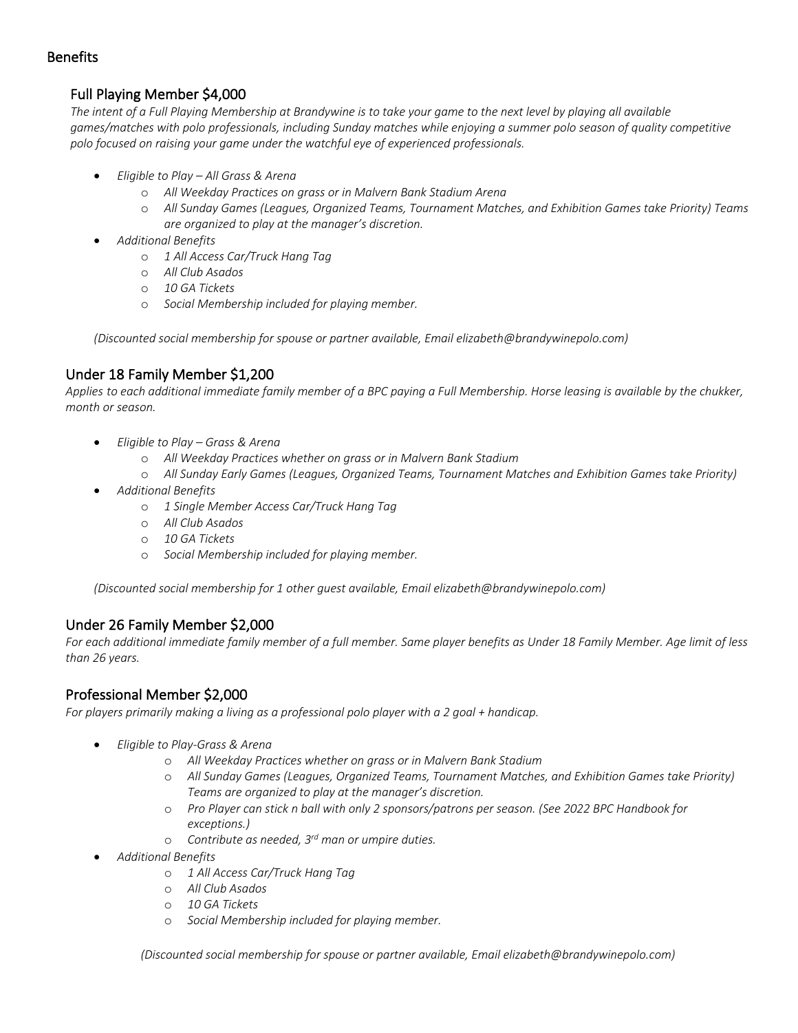### Benefits

# Full Playing Member \$4,000

*The intent of a Full Playing Membership at Brandywine is to take your game to the next level by playing all available games/matches with polo professionals, including Sunday matches while enjoying a summer polo season of quality competitive polo focused on raising your game under the watchful eye of experienced professionals.*

- *Eligible to Play – All Grass & Arena*
	- o *All Weekday Practices on grass or in Malvern Bank Stadium Arena*
	- o *All Sunday Games (Leagues, Organized Teams, Tournament Matches, and Exhibition Games take Priority) Teams are organized to play at the manager's discretion.*
- *Additional Benefits*
	- o *1 All Access Car/Truck Hang Tag*
	- o *All Club Asados*
	- o *10 GA Tickets*
	- o *Social Membership included for playing member.*

*(Discounted social membership for spouse or partner available, Email elizabeth@brandywinepolo.com)*

# Under 18 Family Member \$1,200

*Applies to each additional immediate family member of a BPC paying a Full Membership. Horse leasing is available by the chukker, month or season.*

- *Eligible to Play – Grass & Arena*
	- o *All Weekday Practices whether on grass or in Malvern Bank Stadium*
	- o *All Sunday Early Games (Leagues, Organized Teams, Tournament Matches and Exhibition Games take Priority)*
- *Additional Benefits* 
	- o *1 Single Member Access Car/Truck Hang Tag*
	- o *All Club Asados*
	- o *10 GA Tickets*
	- o *Social Membership included for playing member.*

*(Discounted social membership for 1 other guest available, Email elizabeth@brandywinepolo.com)*

### Under 26 Family Member \$2,000

For each additional immediate family member of a full member. Same player benefits as Under 18 Family Member. Age limit of less *than 26 years.*

### Professional Member \$2,000

*For players primarily making a living as a professional polo player with a 2 goal + handicap.* 

- *Eligible to Play-Grass & Arena*
	- o *All Weekday Practices whether on grass or in Malvern Bank Stadium*
	- o *All Sunday Games (Leagues, Organized Teams, Tournament Matches, and Exhibition Games take Priority) Teams are organized to play at the manager's discretion.*
	- o *Pro Player can stick n ball with only 2 sponsors/patrons per season. (See 2022 BPC Handbook for exceptions.)*
	- o *Contribute as needed, 3rd man or umpire duties.*
- *Additional Benefits* 
	- o *1 All Access Car/Truck Hang Tag*
	- o *All Club Asados*
	- o *10 GA Tickets*
	- o *Social Membership included for playing member.*

*(Discounted social membership for spouse or partner available, Email elizabeth@brandywinepolo.com)*